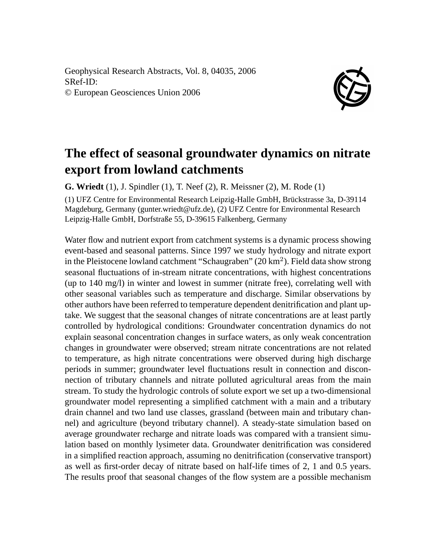Geophysical Research Abstracts, Vol. 8, 04035, 2006 SRef-ID: © European Geosciences Union 2006



## **The effect of seasonal groundwater dynamics on nitrate export from lowland catchments**

**G. Wriedt** (1), J. Spindler (1), T. Neef (2), R. Meissner (2), M. Rode (1)

(1) UFZ Centre for Environmental Research Leipzig-Halle GmbH, Brückstrasse 3a, D-39114 Magdeburg, Germany (gunter.wriedt@ufz.de), (2) UFZ Centre for Environmental Research Leipzig-Halle GmbH, Dorfstraße 55, D-39615 Falkenberg, Germany

Water flow and nutrient export from catchment systems is a dynamic process showing event-based and seasonal patterns. Since 1997 we study hydrology and nitrate export in the Pleistocene lowland catchment "Schaugraben"  $(20 \text{ km}^2)$ . Field data show strong seasonal fluctuations of in-stream nitrate concentrations, with highest concentrations (up to 140 mg/l) in winter and lowest in summer (nitrate free), correlating well with other seasonal variables such as temperature and discharge. Similar observations by other authors have been referred to temperature dependent denitrification and plant uptake. We suggest that the seasonal changes of nitrate concentrations are at least partly controlled by hydrological conditions: Groundwater concentration dynamics do not explain seasonal concentration changes in surface waters, as only weak concentration changes in groundwater were observed; stream nitrate concentrations are not related to temperature, as high nitrate concentrations were observed during high discharge periods in summer; groundwater level fluctuations result in connection and disconnection of tributary channels and nitrate polluted agricultural areas from the main stream. To study the hydrologic controls of solute export we set up a two-dimensional groundwater model representing a simplified catchment with a main and a tributary drain channel and two land use classes, grassland (between main and tributary channel) and agriculture (beyond tributary channel). A steady-state simulation based on average groundwater recharge and nitrate loads was compared with a transient simulation based on monthly lysimeter data. Groundwater denitrification was considered in a simplified reaction approach, assuming no denitrification (conservative transport) as well as first-order decay of nitrate based on half-life times of 2, 1 and 0.5 years. The results proof that seasonal changes of the flow system are a possible mechanism